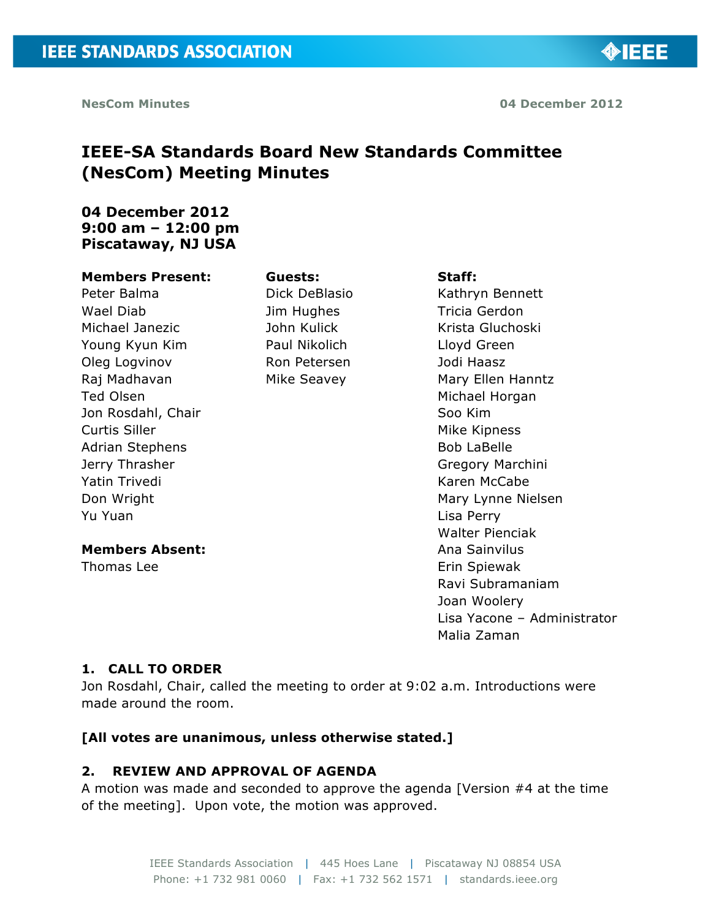**NesCom Minutes 04 December 2012**

◈IEEE

# **IEEE-SA Standards Board New Standards Committee (NesCom) Meeting Minutes**

**Guests:**

Dick DeBlasio Jim Hughes John Kulick Paul Nikolich Ron Petersen Mike Seavey

## **04 December 2012 9:00 am – 12:00 pm Piscataway, NJ USA**

#### **Members Present:**

Peter Balma Wael Diab Michael Janezic Young Kyun Kim Oleg Logvinov Raj Madhavan Ted Olsen Jon Rosdahl, Chair Curtis Siller Adrian Stephens Jerry Thrasher Yatin Trivedi Don Wright Yu Yuan

## **Members Absent:**

Thomas Lee

#### **Staff:**

Kathryn Bennett Tricia Gerdon Krista Gluchoski Lloyd Green Jodi Haasz Mary Ellen Hanntz Michael Horgan Soo Kim Mike Kipness Bob LaBelle Gregory Marchini Karen McCabe Mary Lynne Nielsen Lisa Perry Walter Pienciak Ana Sainvilus Erin Spiewak Ravi Subramaniam Joan Woolery Lisa Yacone – Administrator Malia Zaman

## **1. CALL TO ORDER**

Jon Rosdahl, Chair, called the meeting to order at 9:02 a.m. Introductions were made around the room.

## **[All votes are unanimous, unless otherwise stated.]**

## **2. REVIEW AND APPROVAL OF AGENDA**

A motion was made and seconded to approve the agenda [Version #4 at the time of the meeting]. Upon vote, the motion was approved.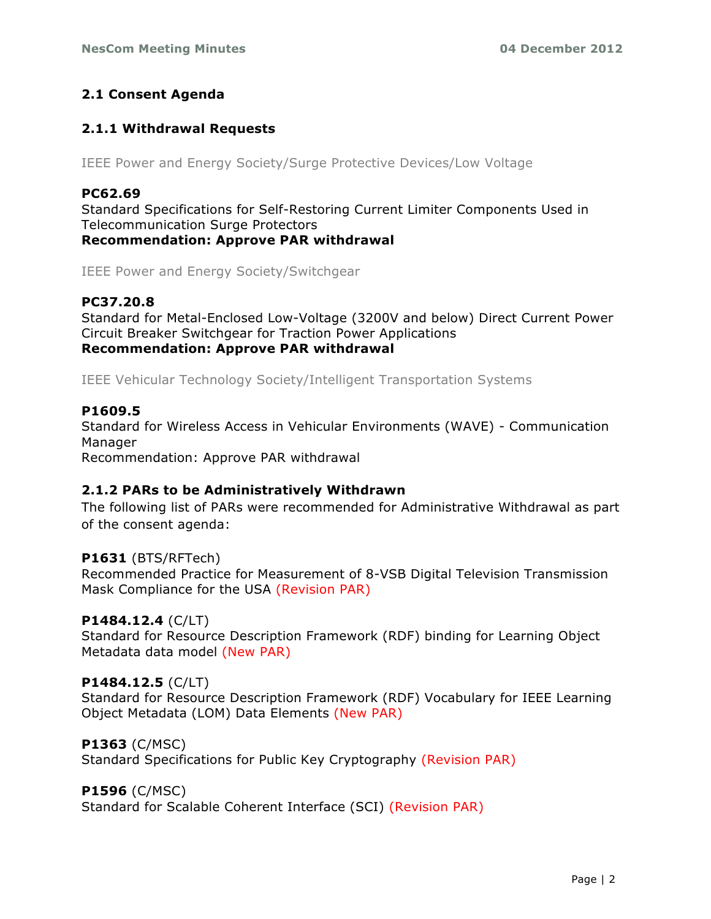## **2.1 Consent Agenda**

## **2.1.1 Withdrawal Requests**

IEEE Power and Energy Society/Surge Protective Devices/Low Voltage

## **PC62.69**

Standard Specifications for Self-Restoring Current Limiter Components Used in Telecommunication Surge Protectors **Recommendation: Approve PAR withdrawal**

IEEE Power and Energy Society/Switchgear

## **PC37.20.8**

Standard for Metal-Enclosed Low-Voltage (3200V and below) Direct Current Power Circuit Breaker Switchgear for Traction Power Applications **Recommendation: Approve PAR withdrawal**

IEEE Vehicular Technology Society/Intelligent Transportation Systems

## **P1609.5**

Standard for Wireless Access in Vehicular Environments (WAVE) - Communication Manager Recommendation: Approve PAR withdrawal

## **2.1.2 PARs to be Administratively Withdrawn**

The following list of PARs were recommended for Administrative Withdrawal as part of the consent agenda:

## **P1631** (BTS/RFTech)

Recommended Practice for Measurement of 8-VSB Digital Television Transmission Mask Compliance for the USA (Revision PAR)

## **P1484.12.4** (C/LT)

Standard for Resource Description Framework (RDF) binding for Learning Object Metadata data model (New PAR)

## **P1484.12.5** (C/LT)

Standard for Resource Description Framework (RDF) Vocabulary for IEEE Learning Object Metadata (LOM) Data Elements (New PAR)

## **P1363** (C/MSC)

Standard Specifications for Public Key Cryptography (Revision PAR)

## **P1596** (C/MSC)

Standard for Scalable Coherent Interface (SCI) (Revision PAR)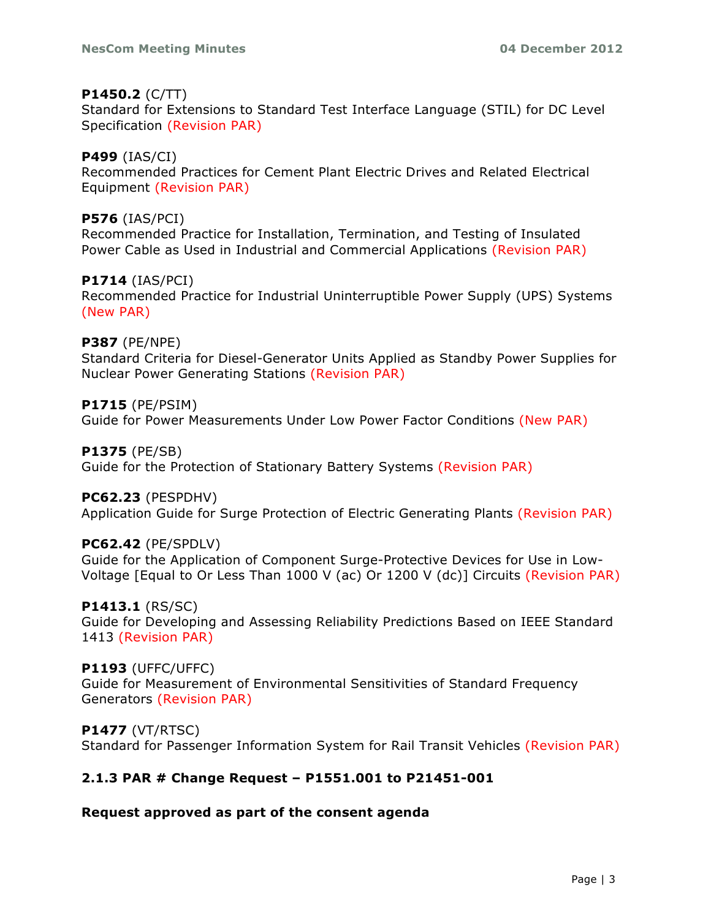## **P1450.2** (C/TT)

Standard for Extensions to Standard Test Interface Language (STIL) for DC Level Specification (Revision PAR)

## **P499** (IAS/CI)

Recommended Practices for Cement Plant Electric Drives and Related Electrical Equipment (Revision PAR)

## **P576** (IAS/PCI)

Recommended Practice for Installation, Termination, and Testing of Insulated Power Cable as Used in Industrial and Commercial Applications (Revision PAR)

## **P1714** (IAS/PCI)

Recommended Practice for Industrial Uninterruptible Power Supply (UPS) Systems (New PAR)

## **P387** (PE/NPE)

Standard Criteria for Diesel-Generator Units Applied as Standby Power Supplies for Nuclear Power Generating Stations (Revision PAR)

## **P1715** (PE/PSIM)

Guide for Power Measurements Under Low Power Factor Conditions (New PAR)

## **P1375** (PE/SB)

Guide for the Protection of Stationary Battery Systems (Revision PAR)

## **PC62.23** (PESPDHV)

Application Guide for Surge Protection of Electric Generating Plants (Revision PAR)

## **PC62.42** (PE/SPDLV)

Guide for the Application of Component Surge-Protective Devices for Use in Low-Voltage [Equal to Or Less Than 1000 V (ac) Or 1200 V (dc)] Circuits (Revision PAR)

## **P1413.1** (RS/SC)

Guide for Developing and Assessing Reliability Predictions Based on IEEE Standard 1413 (Revision PAR)

## **P1193** (UFFC/UFFC)

Guide for Measurement of Environmental Sensitivities of Standard Frequency Generators (Revision PAR)

## **P1477** (VT/RTSC)

Standard for Passenger Information System for Rail Transit Vehicles (Revision PAR)

## **2.1.3 PAR # Change Request – P1551.001 to P21451-001**

## **Request approved as part of the consent agenda**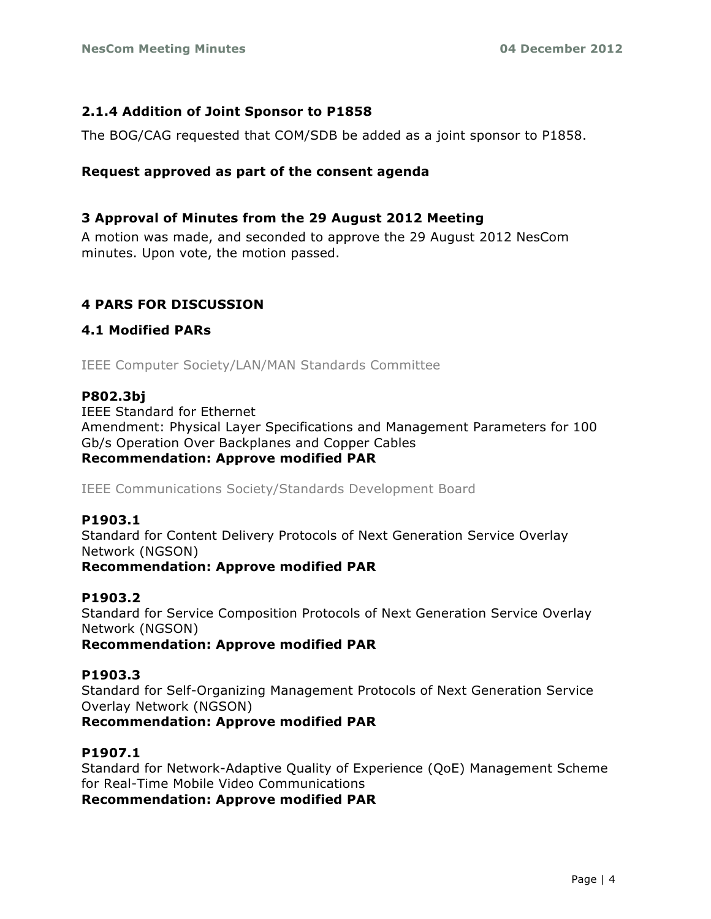## **2.1.4 Addition of Joint Sponsor to P1858**

The BOG/CAG requested that COM/SDB be added as a joint sponsor to P1858.

## **Request approved as part of the consent agenda**

## **3 Approval of Minutes from the 29 August 2012 Meeting**

A motion was made, and seconded to approve the 29 August 2012 NesCom minutes. Upon vote, the motion passed.

## **4 PARS FOR DISCUSSION**

## **4.1 Modified PARs**

IEEE Computer Society/LAN/MAN Standards Committee

## **P802.3bj**

IEEE Standard for Ethernet Amendment: Physical Layer Specifications and Management Parameters for 100 Gb/s Operation Over Backplanes and Copper Cables **Recommendation: Approve modified PAR**

IEEE Communications Society/Standards Development Board

## **P1903.1**

Standard for Content Delivery Protocols of Next Generation Service Overlay Network (NGSON) **Recommendation: Approve modified PAR**

## **P1903.2**

Standard for Service Composition Protocols of Next Generation Service Overlay Network (NGSON)

**Recommendation: Approve modified PAR**

## **P1903.3**

Standard for Self-Organizing Management Protocols of Next Generation Service Overlay Network (NGSON)

**Recommendation: Approve modified PAR**

## **P1907.1**

Standard for Network-Adaptive Quality of Experience (QoE) Management Scheme for Real-Time Mobile Video Communications

**Recommendation: Approve modified PAR**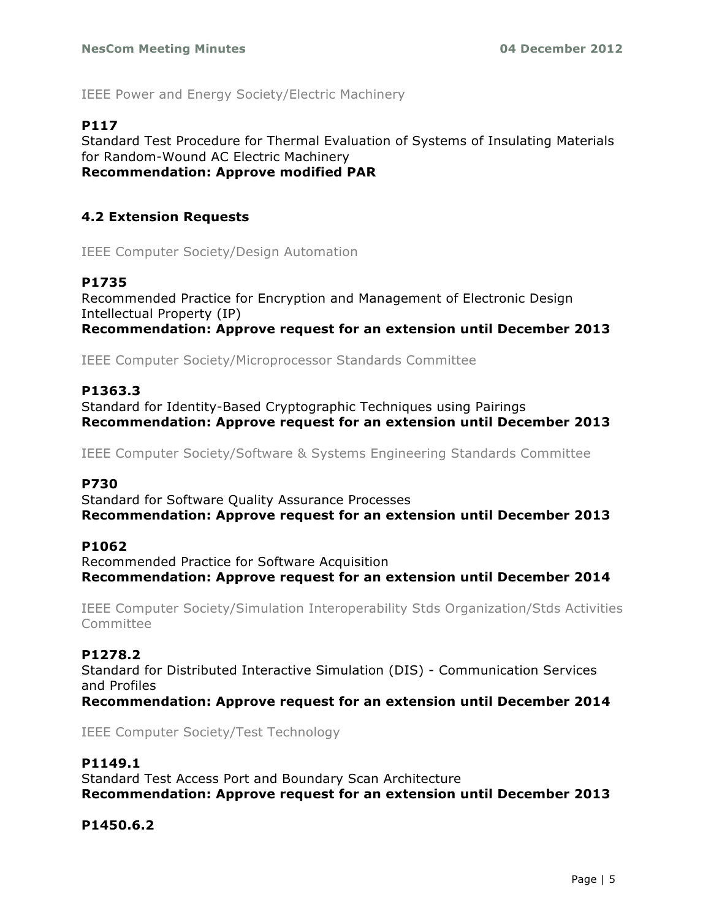IEEE Power and Energy Society/Electric Machinery

## **P117**

Standard Test Procedure for Thermal Evaluation of Systems of Insulating Materials for Random-Wound AC Electric Machinery **Recommendation: Approve modified PAR**

## **4.2 Extension Requests**

IEEE Computer Society/Design Automation

## **P1735**

Recommended Practice for Encryption and Management of Electronic Design Intellectual Property (IP) **Recommendation: Approve request for an extension until December 2013**

IEEE Computer Society/Microprocessor Standards Committee

## **P1363.3**

Standard for Identity-Based Cryptographic Techniques using Pairings **Recommendation: Approve request for an extension until December 2013**

IEEE Computer Society/Software & Systems Engineering Standards Committee

## **P730**

Standard for Software Quality Assurance Processes **Recommendation: Approve request for an extension until December 2013**

## **P1062**

Recommended Practice for Software Acquisition **Recommendation: Approve request for an extension until December 2014**

IEEE Computer Society/Simulation Interoperability Stds Organization/Stds Activities Committee

## **P1278.2**

Standard for Distributed Interactive Simulation (DIS) - Communication Services and Profiles

**Recommendation: Approve request for an extension until December 2014**

IEEE Computer Society/Test Technology

## **P1149.1**

Standard Test Access Port and Boundary Scan Architecture **Recommendation: Approve request for an extension until December 2013**

## **P1450.6.2**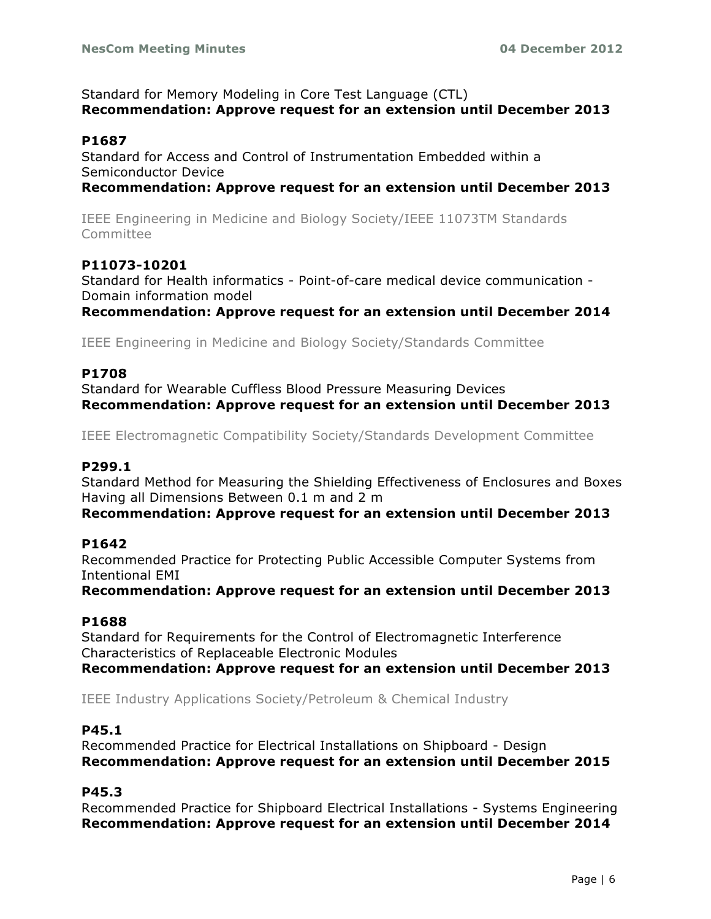Standard for Memory Modeling in Core Test Language (CTL) **Recommendation: Approve request for an extension until December 2013**

#### **P1687**

Standard for Access and Control of Instrumentation Embedded within a Semiconductor Device

**Recommendation: Approve request for an extension until December 2013**

IEEE Engineering in Medicine and Biology Society/IEEE 11073TM Standards **Committee** 

## **P11073-10201**

Standard for Health informatics - Point-of-care medical device communication - Domain information model

**Recommendation: Approve request for an extension until December 2014**

IEEE Engineering in Medicine and Biology Society/Standards Committee

#### **P1708**

Standard for Wearable Cuffless Blood Pressure Measuring Devices **Recommendation: Approve request for an extension until December 2013**

IEEE Electromagnetic Compatibility Society/Standards Development Committee

#### **P299.1**

Standard Method for Measuring the Shielding Effectiveness of Enclosures and Boxes Having all Dimensions Between 0.1 m and 2 m

#### **Recommendation: Approve request for an extension until December 2013**

#### **P1642**

Recommended Practice for Protecting Public Accessible Computer Systems from Intentional EMI

**Recommendation: Approve request for an extension until December 2013**

#### **P1688**

Standard for Requirements for the Control of Electromagnetic Interference Characteristics of Replaceable Electronic Modules

**Recommendation: Approve request for an extension until December 2013**

IEEE Industry Applications Society/Petroleum & Chemical Industry

#### **P45.1**

Recommended Practice for Electrical Installations on Shipboard - Design **Recommendation: Approve request for an extension until December 2015**

## **P45.3**

Recommended Practice for Shipboard Electrical Installations - Systems Engineering **Recommendation: Approve request for an extension until December 2014**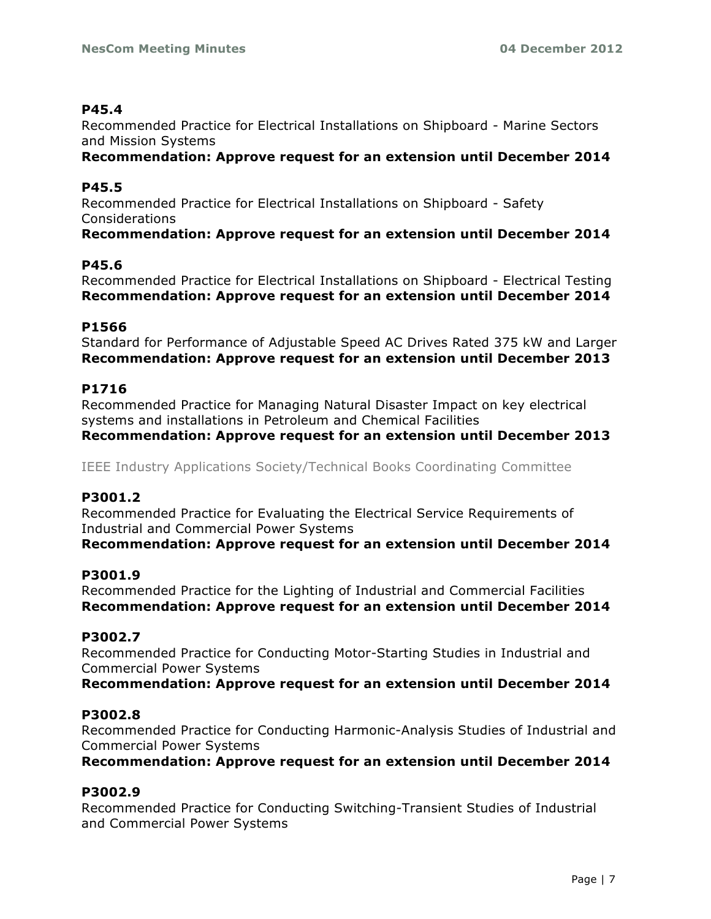## **P45.4**

Recommended Practice for Electrical Installations on Shipboard - Marine Sectors and Mission Systems

**Recommendation: Approve request for an extension until December 2014**

## **P45.5**

Recommended Practice for Electrical Installations on Shipboard - Safety Considerations

**Recommendation: Approve request for an extension until December 2014**

## **P45.6**

Recommended Practice for Electrical Installations on Shipboard - Electrical Testing **Recommendation: Approve request for an extension until December 2014**

## **P1566**

Standard for Performance of Adjustable Speed AC Drives Rated 375 kW and Larger **Recommendation: Approve request for an extension until December 2013**

## **P1716**

Recommended Practice for Managing Natural Disaster Impact on key electrical systems and installations in Petroleum and Chemical Facilities **Recommendation: Approve request for an extension until December 2013**

IEEE Industry Applications Society/Technical Books Coordinating Committee

## **P3001.2**

Recommended Practice for Evaluating the Electrical Service Requirements of Industrial and Commercial Power Systems

**Recommendation: Approve request for an extension until December 2014**

## **P3001.9**

Recommended Practice for the Lighting of Industrial and Commercial Facilities **Recommendation: Approve request for an extension until December 2014**

#### **P3002.7**

Recommended Practice for Conducting Motor-Starting Studies in Industrial and Commercial Power Systems

**Recommendation: Approve request for an extension until December 2014**

## **P3002.8**

Recommended Practice for Conducting Harmonic-Analysis Studies of Industrial and Commercial Power Systems

**Recommendation: Approve request for an extension until December 2014**

## **P3002.9**

Recommended Practice for Conducting Switching-Transient Studies of Industrial and Commercial Power Systems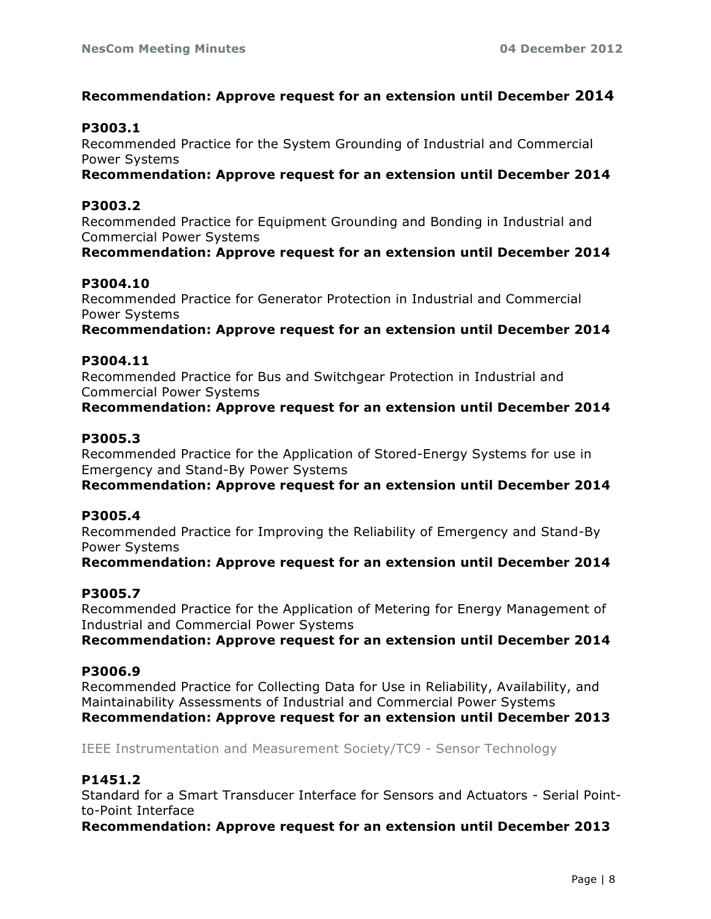## **Recommendation: Approve request for an extension until December 2014**

## **P3003.1**

Recommended Practice for the System Grounding of Industrial and Commercial Power Systems

**Recommendation: Approve request for an extension until December 2014**

#### **P3003.2**

Recommended Practice for Equipment Grounding and Bonding in Industrial and Commercial Power Systems

**Recommendation: Approve request for an extension until December 2014**

## **P3004.10**

Recommended Practice for Generator Protection in Industrial and Commercial Power Systems

**Recommendation: Approve request for an extension until December 2014**

#### **P3004.11**

Recommended Practice for Bus and Switchgear Protection in Industrial and Commercial Power Systems

**Recommendation: Approve request for an extension until December 2014**

#### **P3005.3**

Recommended Practice for the Application of Stored-Energy Systems for use in Emergency and Stand-By Power Systems

**Recommendation: Approve request for an extension until December 2014**

#### **P3005.4**

Recommended Practice for Improving the Reliability of Emergency and Stand-By Power Systems

**Recommendation: Approve request for an extension until December 2014**

## **P3005.7**

Recommended Practice for the Application of Metering for Energy Management of Industrial and Commercial Power Systems

**Recommendation: Approve request for an extension until December 2014**

#### **P3006.9**

Recommended Practice for Collecting Data for Use in Reliability, Availability, and Maintainability Assessments of Industrial and Commercial Power Systems **Recommendation: Approve request for an extension until December 2013**

IEEE Instrumentation and Measurement Society/TC9 - Sensor Technology

## **P1451.2**

Standard for a Smart Transducer Interface for Sensors and Actuators - Serial Pointto-Point Interface

**Recommendation: Approve request for an extension until December 2013**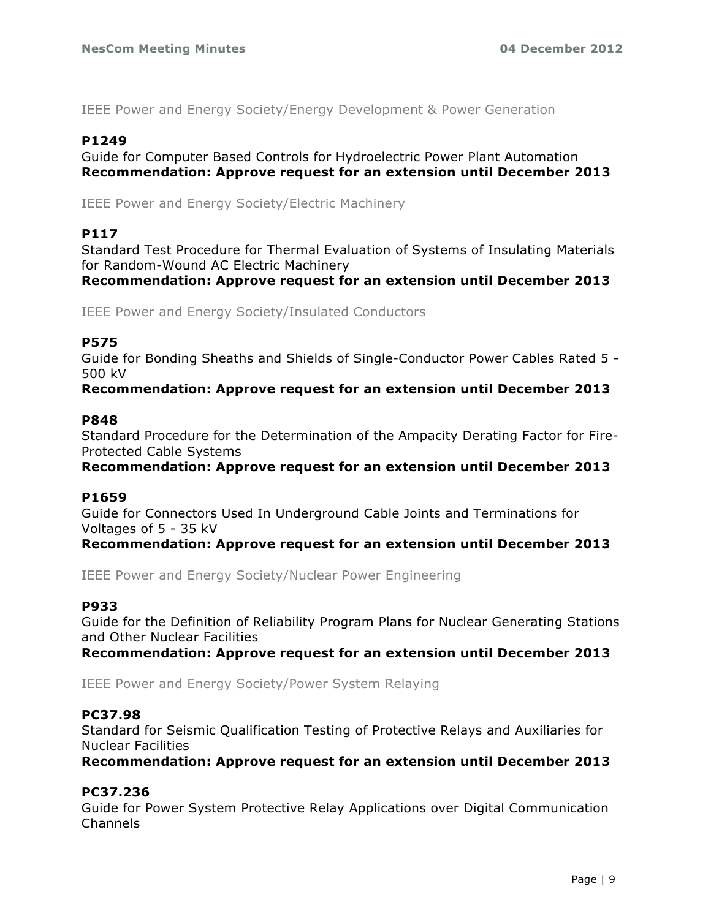IEEE Power and Energy Society/Energy Development & Power Generation

## **P1249**

Guide for Computer Based Controls for Hydroelectric Power Plant Automation **Recommendation: Approve request for an extension until December 2013**

IEEE Power and Energy Society/Electric Machinery

#### **P117**

Standard Test Procedure for Thermal Evaluation of Systems of Insulating Materials for Random-Wound AC Electric Machinery

**Recommendation: Approve request for an extension until December 2013**

IEEE Power and Energy Society/Insulated Conductors

#### **P575**

Guide for Bonding Sheaths and Shields of Single-Conductor Power Cables Rated 5 - 500 kV

**Recommendation: Approve request for an extension until December 2013**

#### **P848**

Standard Procedure for the Determination of the Ampacity Derating Factor for Fire-Protected Cable Systems

**Recommendation: Approve request for an extension until December 2013**

#### **P1659**

Guide for Connectors Used In Underground Cable Joints and Terminations for Voltages of 5 - 35 kV

**Recommendation: Approve request for an extension until December 2013**

IEEE Power and Energy Society/Nuclear Power Engineering

## **P933**

Guide for the Definition of Reliability Program Plans for Nuclear Generating Stations and Other Nuclear Facilities

**Recommendation: Approve request for an extension until December 2013**

IEEE Power and Energy Society/Power System Relaying

#### **PC37.98**

Standard for Seismic Qualification Testing of Protective Relays and Auxiliaries for Nuclear Facilities

**Recommendation: Approve request for an extension until December 2013**

## **PC37.236**

Guide for Power System Protective Relay Applications over Digital Communication Channels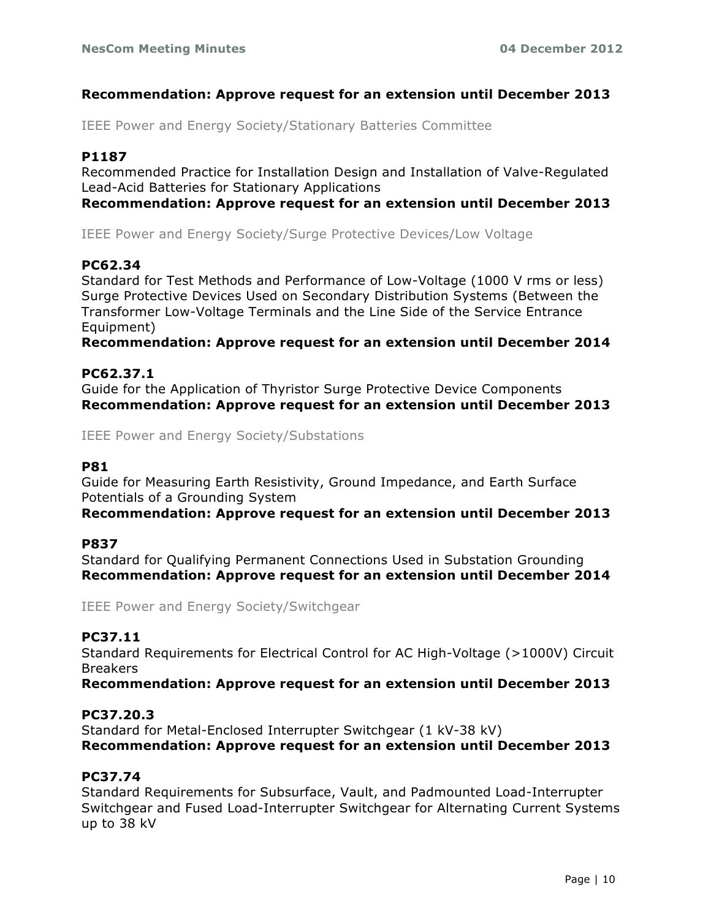## **Recommendation: Approve request for an extension until December 2013**

IEEE Power and Energy Society/Stationary Batteries Committee

## **P1187**

Recommended Practice for Installation Design and Installation of Valve-Regulated Lead-Acid Batteries for Stationary Applications

**Recommendation: Approve request for an extension until December 2013**

IEEE Power and Energy Society/Surge Protective Devices/Low Voltage

## **PC62.34**

Standard for Test Methods and Performance of Low-Voltage (1000 V rms or less) Surge Protective Devices Used on Secondary Distribution Systems (Between the Transformer Low-Voltage Terminals and the Line Side of the Service Entrance Equipment)

**Recommendation: Approve request for an extension until December 2014**

## **PC62.37.1**

Guide for the Application of Thyristor Surge Protective Device Components **Recommendation: Approve request for an extension until December 2013**

IEEE Power and Energy Society/Substations

#### **P81**

Guide for Measuring Earth Resistivity, Ground Impedance, and Earth Surface Potentials of a Grounding System

**Recommendation: Approve request for an extension until December 2013**

#### **P837**

Standard for Qualifying Permanent Connections Used in Substation Grounding **Recommendation: Approve request for an extension until December 2014**

IEEE Power and Energy Society/Switchgear

## **PC37.11**

Standard Requirements for Electrical Control for AC High-Voltage (>1000V) Circuit Breakers

**Recommendation: Approve request for an extension until December 2013**

## **PC37.20.3**

Standard for Metal-Enclosed Interrupter Switchgear (1 kV-38 kV) **Recommendation: Approve request for an extension until December 2013**

## **PC37.74**

Standard Requirements for Subsurface, Vault, and Padmounted Load-Interrupter Switchgear and Fused Load-Interrupter Switchgear for Alternating Current Systems up to 38 kV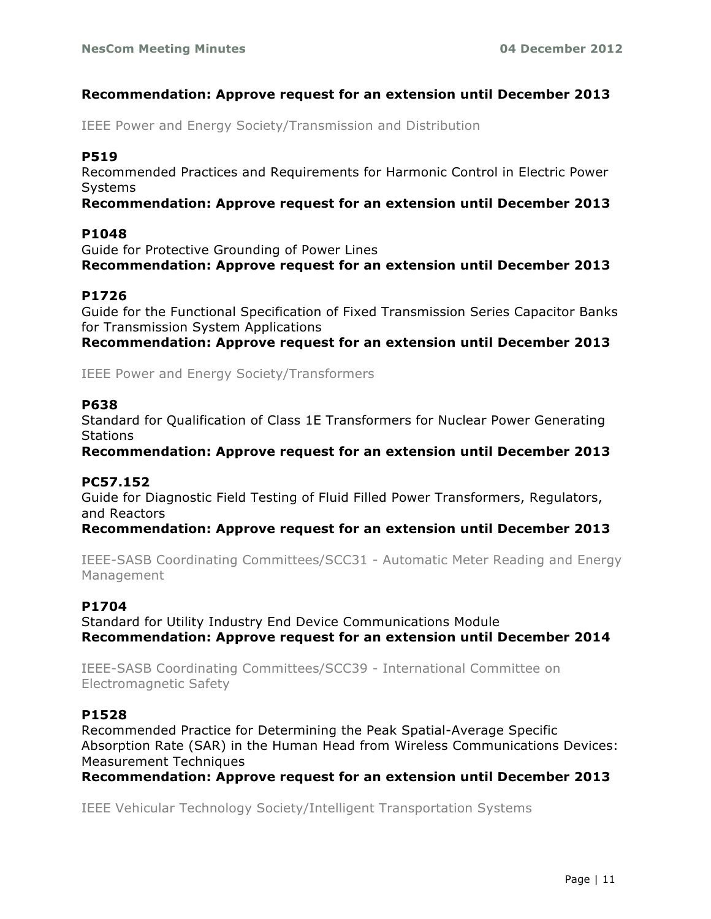## **Recommendation: Approve request for an extension until December 2013**

IEEE Power and Energy Society/Transmission and Distribution

## **P519**

Recommended Practices and Requirements for Harmonic Control in Electric Power Systems

#### **Recommendation: Approve request for an extension until December 2013**

#### **P1048**

Guide for Protective Grounding of Power Lines **Recommendation: Approve request for an extension until December 2013**

## **P1726**

Guide for the Functional Specification of Fixed Transmission Series Capacitor Banks for Transmission System Applications

**Recommendation: Approve request for an extension until December 2013**

IEEE Power and Energy Society/Transformers

#### **P638**

Standard for Qualification of Class 1E Transformers for Nuclear Power Generating **Stations** 

**Recommendation: Approve request for an extension until December 2013**

## **PC57.152**

Guide for Diagnostic Field Testing of Fluid Filled Power Transformers, Regulators, and Reactors

**Recommendation: Approve request for an extension until December 2013**

IEEE-SASB Coordinating Committees/SCC31 - Automatic Meter Reading and Energy Management

## **P1704**

Standard for Utility Industry End Device Communications Module **Recommendation: Approve request for an extension until December 2014**

IEEE-SASB Coordinating Committees/SCC39 - International Committee on Electromagnetic Safety

## **P1528**

Recommended Practice for Determining the Peak Spatial-Average Specific Absorption Rate (SAR) in the Human Head from Wireless Communications Devices: Measurement Techniques

**Recommendation: Approve request for an extension until December 2013**

IEEE Vehicular Technology Society/Intelligent Transportation Systems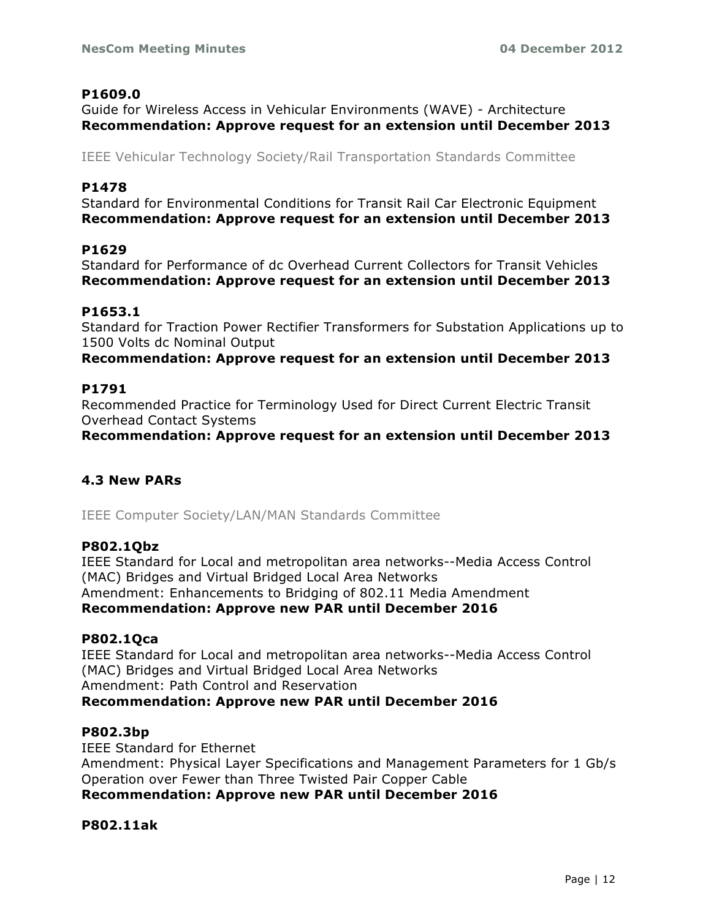## **P1609.0**

Guide for Wireless Access in Vehicular Environments (WAVE) - Architecture **Recommendation: Approve request for an extension until December 2013**

IEEE Vehicular Technology Society/Rail Transportation Standards Committee

## **P1478**

Standard for Environmental Conditions for Transit Rail Car Electronic Equipment **Recommendation: Approve request for an extension until December 2013**

## **P1629**

Standard for Performance of dc Overhead Current Collectors for Transit Vehicles **Recommendation: Approve request for an extension until December 2013**

## **P1653.1**

Standard for Traction Power Rectifier Transformers for Substation Applications up to 1500 Volts dc Nominal Output

**Recommendation: Approve request for an extension until December 2013**

## **P1791**

Recommended Practice for Terminology Used for Direct Current Electric Transit Overhead Contact Systems

**Recommendation: Approve request for an extension until December 2013**

## **4.3 New PARs**

IEEE Computer Society/LAN/MAN Standards Committee

#### **P802.1Qbz**

IEEE Standard for Local and metropolitan area networks--Media Access Control (MAC) Bridges and Virtual Bridged Local Area Networks Amendment: Enhancements to Bridging of 802.11 Media Amendment **Recommendation: Approve new PAR until December 2016**

## **P802.1Qca**

IEEE Standard for Local and metropolitan area networks--Media Access Control (MAC) Bridges and Virtual Bridged Local Area Networks Amendment: Path Control and Reservation **Recommendation: Approve new PAR until December 2016**

#### **P802.3bp**

IEEE Standard for Ethernet Amendment: Physical Layer Specifications and Management Parameters for 1 Gb/s Operation over Fewer than Three Twisted Pair Copper Cable **Recommendation: Approve new PAR until December 2016**

## **P802.11ak**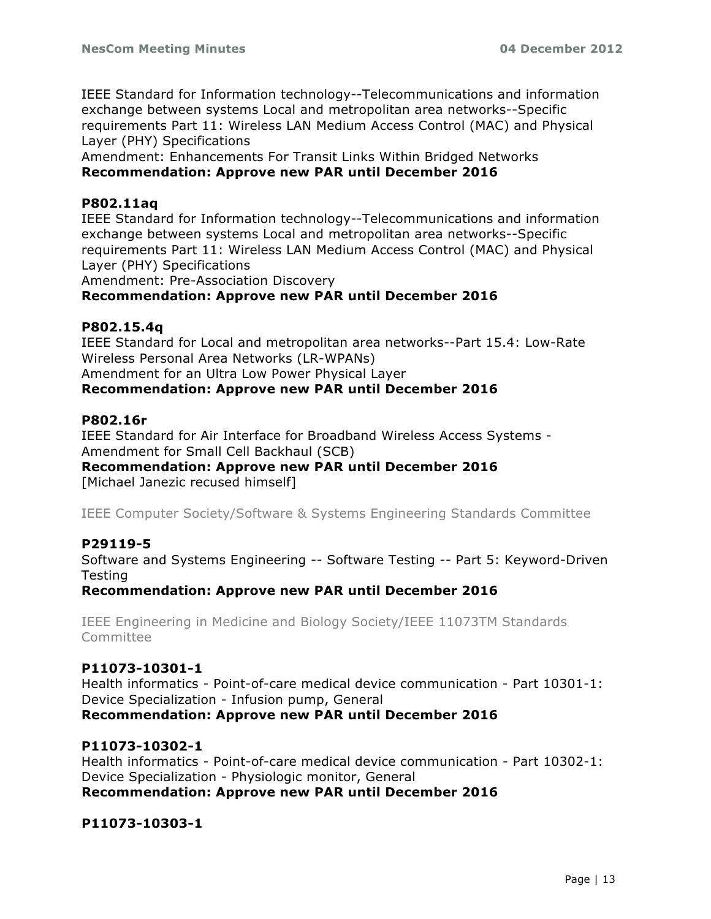IEEE Standard for Information technology--Telecommunications and information exchange between systems Local and metropolitan area networks--Specific requirements Part 11: Wireless LAN Medium Access Control (MAC) and Physical Layer (PHY) Specifications

Amendment: Enhancements For Transit Links Within Bridged Networks **Recommendation: Approve new PAR until December 2016**

#### **P802.11aq**

IEEE Standard for Information technology--Telecommunications and information exchange between systems Local and metropolitan area networks--Specific requirements Part 11: Wireless LAN Medium Access Control (MAC) and Physical Layer (PHY) Specifications

Amendment: Pre-Association Discovery

#### **Recommendation: Approve new PAR until December 2016**

#### **P802.15.4q**

IEEE Standard for Local and metropolitan area networks--Part 15.4: Low-Rate Wireless Personal Area Networks (LR-WPANs) Amendment for an Ultra Low Power Physical Layer **Recommendation: Approve new PAR until December 2016**

#### **P802.16r**

IEEE Standard for Air Interface for Broadband Wireless Access Systems - Amendment for Small Cell Backhaul (SCB)

**Recommendation: Approve new PAR until December 2016**

[Michael Janezic recused himself]

IEEE Computer Society/Software & Systems Engineering Standards Committee

#### **P29119-5**

Software and Systems Engineering -- Software Testing -- Part 5: Keyword-Driven **Testing** 

**Recommendation: Approve new PAR until December 2016**

IEEE Engineering in Medicine and Biology Society/IEEE 11073TM Standards Committee

#### **P11073-10301-1**

Health informatics - Point-of-care medical device communication - Part 10301-1: Device Specialization - Infusion pump, General **Recommendation: Approve new PAR until December 2016**

#### **P11073-10302-1**

Health informatics - Point-of-care medical device communication - Part 10302-1: Device Specialization - Physiologic monitor, General **Recommendation: Approve new PAR until December 2016**

**P11073-10303-1**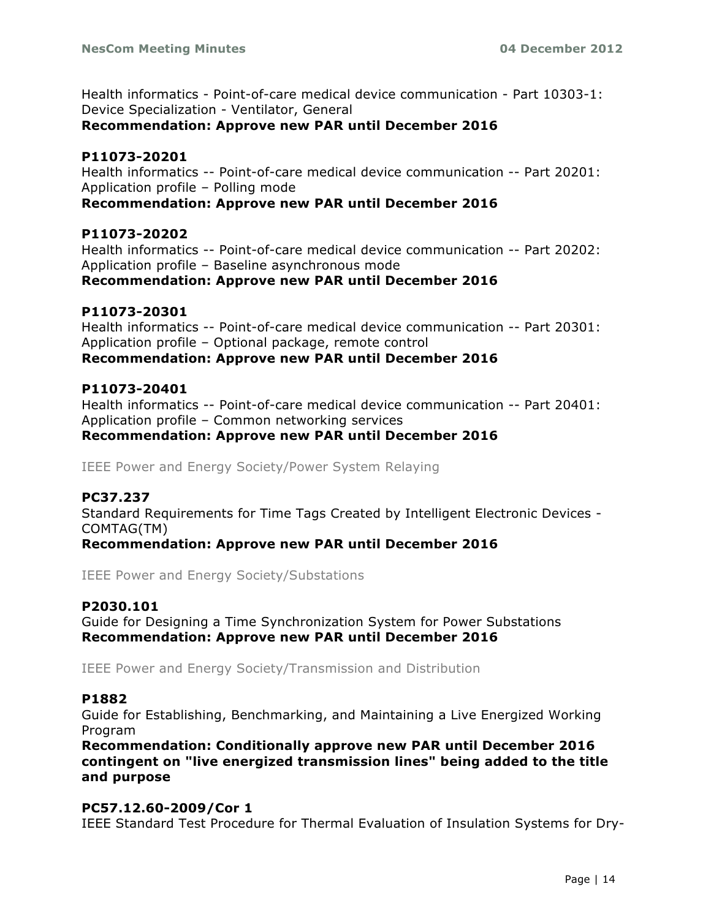Health informatics - Point-of-care medical device communication - Part 10303-1: Device Specialization - Ventilator, General

**Recommendation: Approve new PAR until December 2016**

#### **P11073-20201**

Health informatics -- Point-of-care medical device communication -- Part 20201: Application profile – Polling mode

#### **Recommendation: Approve new PAR until December 2016**

#### **P11073-20202**

Health informatics -- Point-of-care medical device communication -- Part 20202: Application profile – Baseline asynchronous mode **Recommendation: Approve new PAR until December 2016**

#### **P11073-20301**

Health informatics -- Point-of-care medical device communication -- Part 20301: Application profile – Optional package, remote control **Recommendation: Approve new PAR until December 2016**

#### **P11073-20401**

Health informatics -- Point-of-care medical device communication -- Part 20401: Application profile – Common networking services **Recommendation: Approve new PAR until December 2016**

IEEE Power and Energy Society/Power System Relaying

## **PC37.237**

Standard Requirements for Time Tags Created by Intelligent Electronic Devices - COMTAG(TM)

**Recommendation: Approve new PAR until December 2016**

IEEE Power and Energy Society/Substations

## **P2030.101**

Guide for Designing a Time Synchronization System for Power Substations **Recommendation: Approve new PAR until December 2016**

IEEE Power and Energy Society/Transmission and Distribution

#### **P1882**

Guide for Establishing, Benchmarking, and Maintaining a Live Energized Working Program

**Recommendation: Conditionally approve new PAR until December 2016 contingent on "live energized transmission lines" being added to the title and purpose**

#### **PC57.12.60-2009/Cor 1**

IEEE Standard Test Procedure for Thermal Evaluation of Insulation Systems for Dry-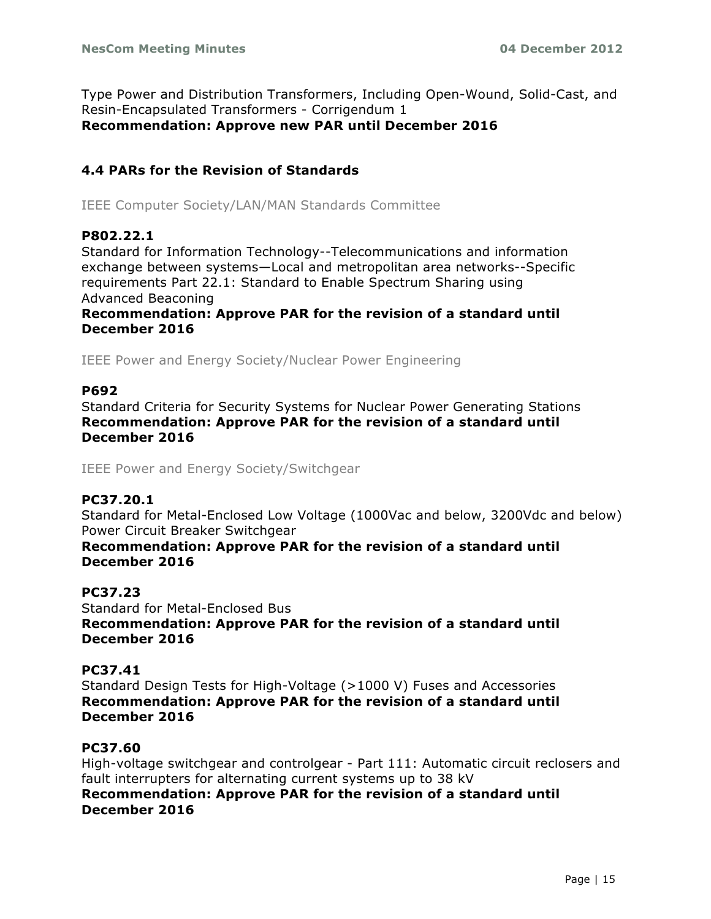Type Power and Distribution Transformers, Including Open-Wound, Solid-Cast, and Resin-Encapsulated Transformers - Corrigendum 1 **Recommendation: Approve new PAR until December 2016**

## **4.4 PARs for the Revision of Standards**

IEEE Computer Society/LAN/MAN Standards Committee

#### **P802.22.1**

Standard for Information Technology--Telecommunications and information exchange between systems—Local and metropolitan area networks--Specific requirements Part 22.1: Standard to Enable Spectrum Sharing using Advanced Beaconing

**Recommendation: Approve PAR for the revision of a standard until December 2016**

IEEE Power and Energy Society/Nuclear Power Engineering

#### **P692**

Standard Criteria for Security Systems for Nuclear Power Generating Stations **Recommendation: Approve PAR for the revision of a standard until December 2016**

IEEE Power and Energy Society/Switchgear

#### **PC37.20.1**

Standard for Metal-Enclosed Low Voltage (1000Vac and below, 3200Vdc and below) Power Circuit Breaker Switchgear

**Recommendation: Approve PAR for the revision of a standard until December 2016**

#### **PC37.23**

Standard for Metal-Enclosed Bus **Recommendation: Approve PAR for the revision of a standard until December 2016**

#### **PC37.41**

Standard Design Tests for High-Voltage (>1000 V) Fuses and Accessories **Recommendation: Approve PAR for the revision of a standard until December 2016**

#### **PC37.60**

High-voltage switchgear and controlgear - Part 111: Automatic circuit reclosers and fault interrupters for alternating current systems up to 38 kV **Recommendation: Approve PAR for the revision of a standard until December 2016**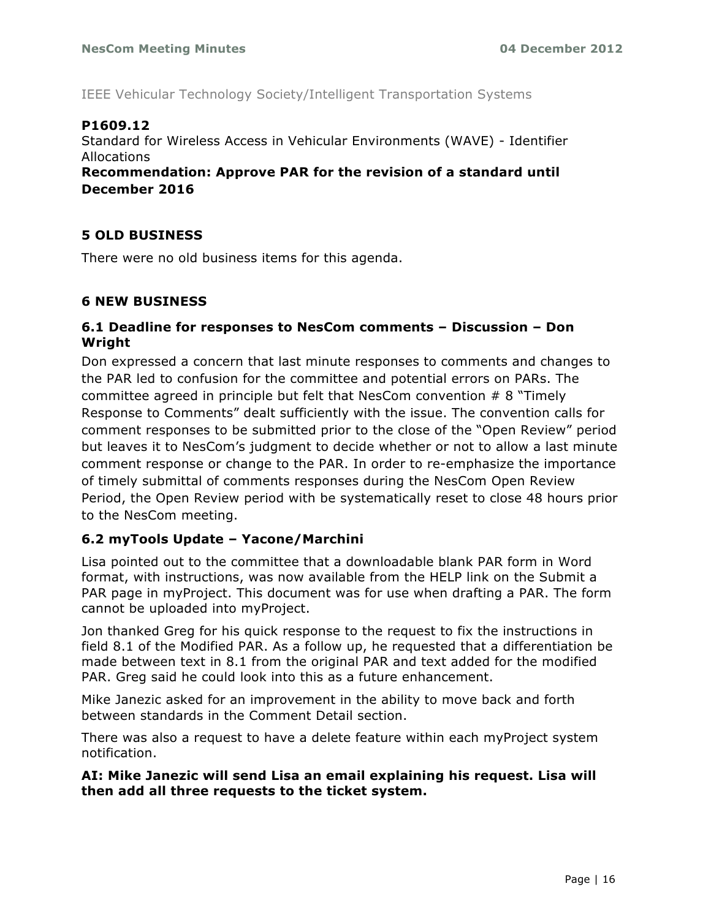IEEE Vehicular Technology Society/Intelligent Transportation Systems

## **P1609.12**

Standard for Wireless Access in Vehicular Environments (WAVE) - Identifier Allocations

**Recommendation: Approve PAR for the revision of a standard until December 2016**

## **5 OLD BUSINESS**

There were no old business items for this agenda.

## **6 NEW BUSINESS**

## **6.1 Deadline for responses to NesCom comments – Discussion – Don Wright**

Don expressed a concern that last minute responses to comments and changes to the PAR led to confusion for the committee and potential errors on PARs. The committee agreed in principle but felt that NesCom convention # 8 "Timely Response to Comments" dealt sufficiently with the issue. The convention calls for comment responses to be submitted prior to the close of the "Open Review" period but leaves it to NesCom's judgment to decide whether or not to allow a last minute comment response or change to the PAR. In order to re-emphasize the importance of timely submittal of comments responses during the NesCom Open Review Period, the Open Review period with be systematically reset to close 48 hours prior to the NesCom meeting.

## **6.2 myTools Update – Yacone/Marchini**

Lisa pointed out to the committee that a downloadable blank PAR form in Word format, with instructions, was now available from the HELP link on the Submit a PAR page in myProject. This document was for use when drafting a PAR. The form cannot be uploaded into myProject.

Jon thanked Greg for his quick response to the request to fix the instructions in field 8.1 of the Modified PAR. As a follow up, he requested that a differentiation be made between text in 8.1 from the original PAR and text added for the modified PAR. Greg said he could look into this as a future enhancement.

Mike Janezic asked for an improvement in the ability to move back and forth between standards in the Comment Detail section.

There was also a request to have a delete feature within each myProject system notification.

## **AI: Mike Janezic will send Lisa an email explaining his request. Lisa will then add all three requests to the ticket system.**